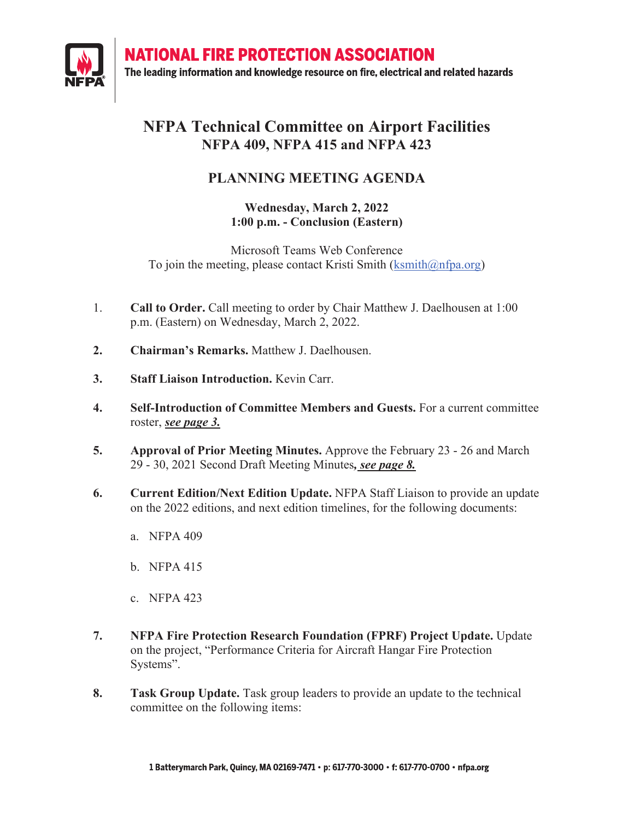**NATIONAL FIRE PROTECTION ASSOCIATION** 



The leading information and knowledge resource on fire, electrical and related hazards

## **NFPA Technical Committee on Airport Facilities NFPA 409, NFPA 415 and NFPA 423**

## **PLANNING MEETING AGENDA**

### **Wednesday, March 2, 2022 1:00 p.m. - Conclusion (Eastern)**

Microsoft Teams Web Conference To join the meeting, please contact Kristi Smith  $(kswith@nfpa.org)$ 

- 1. **Call to Order.** Call meeting to order by Chair Matthew J. Daelhousen at 1:00 p.m. (Eastern) on Wednesday, March 2, 2022.
- **2. Chairman's Remarks.** Matthew J. Daelhousen.
- **3. Staff Liaison Introduction.** Kevin Carr.
- **4. Self-Introduction of Committee Members and Guests.** For a current committee roster, *see page 3.*
- **5. Approval of Prior Meeting Minutes.** Approve the February 23 26 and March 29 - 30, 2021 Second Draft Meeting Minutes*, see page 8.*
- **6. Current Edition/Next Edition Update.** NFPA Staff Liaison to provide an update on the 2022 editions, and next edition timelines, for the following documents:
	- a. NFPA 409
	- b. NFPA 415
	- c. NFPA 423
- **7. NFPA Fire Protection Research Foundation (FPRF) Project Update.** Update on the project, "Performance Criteria for Aircraft Hangar Fire Protection Systems".
- **8. Task Group Update.** Task group leaders to provide an update to the technical committee on the following items: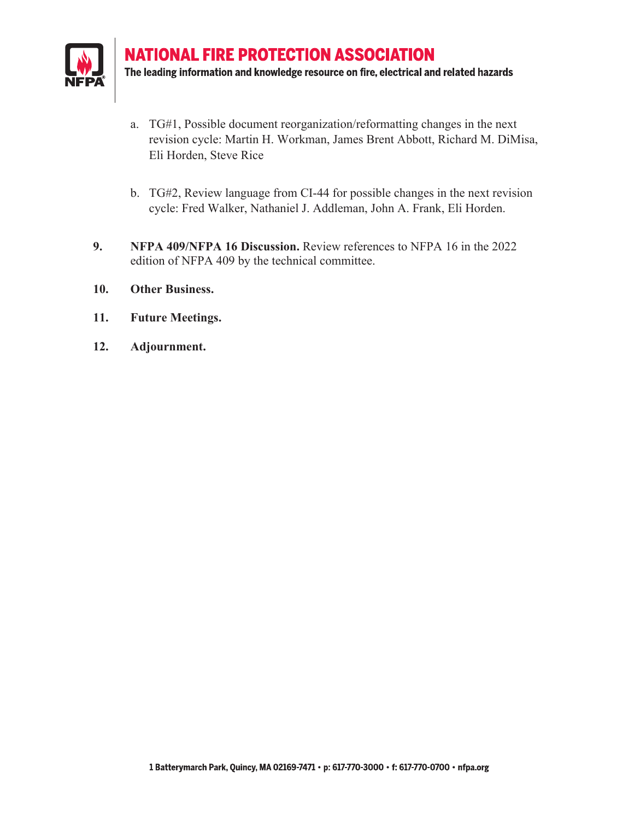

**NATIONAL FIRE PROTECTION ASSOCIATION** The leading information and knowledge resource on fire, electrical and related hazards

- a. TG#1, Possible document reorganization/reformatting changes in the next revision cycle: Martin H. Workman, James Brent Abbott, Richard M. DiMisa, Eli Horden, Steve Rice
- b. TG#2, Review language from CI-44 for possible changes in the next revision cycle: Fred Walker, Nathaniel J. Addleman, John A. Frank, Eli Horden.
- **9. NFPA 409/NFPA 16 Discussion.** Review references to NFPA 16 in the 2022 edition of NFPA 409 by the technical committee.
- **10. Other Business.**
- **11. Future Meetings.**
- **12. Adjournment.**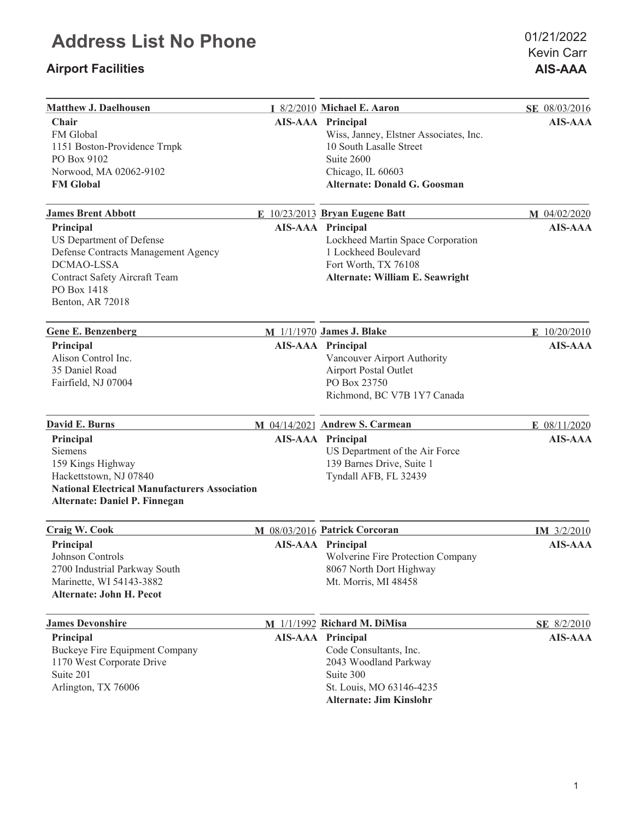## **Airport Facilities AIS-AAA**

| <b>Matthew J. Daelhousen</b>                                                                                                                                   | I 8/2/2010 Michael E. Aaron                                                                                                                            | SE 08/03/2016  |
|----------------------------------------------------------------------------------------------------------------------------------------------------------------|--------------------------------------------------------------------------------------------------------------------------------------------------------|----------------|
| Chair<br>FM Global<br>1151 Boston-Providence Trnpk<br>PO Box 9102                                                                                              | <b>AIS-AAA</b> Principal<br>Wiss, Janney, Elstner Associates, Inc.<br>10 South Lasalle Street<br>Suite 2600                                            | <b>AIS-AAA</b> |
| Norwood, MA 02062-9102<br><b>FM Global</b>                                                                                                                     | Chicago, IL 60603<br><b>Alternate: Donald G. Goosman</b>                                                                                               |                |
| <b>James Brent Abbott</b>                                                                                                                                      | E 10/23/2013 Bryan Eugene Batt                                                                                                                         | M 04/02/2020   |
| Principal<br>US Department of Defense<br>Defense Contracts Management Agency<br>DCMAO-LSSA<br>Contract Safety Aircraft Team<br>PO Box 1418<br>Benton, AR 72018 | <b>AIS-AAA Principal</b><br>Lockheed Martin Space Corporation<br>1 Lockheed Boulevard<br>Fort Worth, TX 76108<br>Alternate: William E. Seawright       | <b>AIS-AAA</b> |
| <b>Gene E. Benzenberg</b>                                                                                                                                      | M 1/1/1970 James J. Blake                                                                                                                              | E 10/20/2010   |
| Principal<br>Alison Control Inc.<br>35 Daniel Road<br>Fairfield, NJ 07004                                                                                      | <b>AIS-AAA</b> Principal<br>Vancouver Airport Authority<br>Airport Postal Outlet<br>PO Box 23750<br>Richmond, BC V7B 1Y7 Canada                        | <b>AIS-AAA</b> |
| David E. Burns                                                                                                                                                 | M 04/14/2021 Andrew S. Carmean                                                                                                                         | E 08/11/2020   |
| Principal<br>Siemens<br>159 Kings Highway<br>Hackettstown, NJ 07840<br><b>National Electrical Manufacturers Association</b><br>Alternate: Daniel P. Finnegan   | <b>AIS-AAA</b> Principal<br>US Department of the Air Force<br>139 Barnes Drive, Suite 1<br>Tyndall AFB, FL 32439                                       | <b>AIS-AAA</b> |
| Craig W. Cook                                                                                                                                                  | M 08/03/2016 Patrick Corcoran                                                                                                                          | IM 3/2/2010    |
| Principal<br>Johnson Controls<br>2700 Industrial Parkway South<br>Marinette, WI 54143-3882<br>Alternate: John H. Pecot                                         | <b>AIS-AAA</b> Principal<br>Wolverine Fire Protection Company<br>8067 North Dort Highway<br>Mt. Morris, MI 48458                                       | <b>AIS-AAA</b> |
| <b>James Devonshire</b>                                                                                                                                        | M 1/1/1992 Richard M. DiMisa                                                                                                                           | SE 8/2/2010    |
| Principal<br>Buckeye Fire Equipment Company<br>1170 West Corporate Drive<br>Suite 201<br>Arlington, TX 76006                                                   | <b>AIS-AAA</b> Principal<br>Code Consultants, Inc.<br>2043 Woodland Parkway<br>Suite 300<br>St. Louis, MO 63146-4235<br><b>Alternate: Jim Kinslohr</b> | <b>AIS-AAA</b> |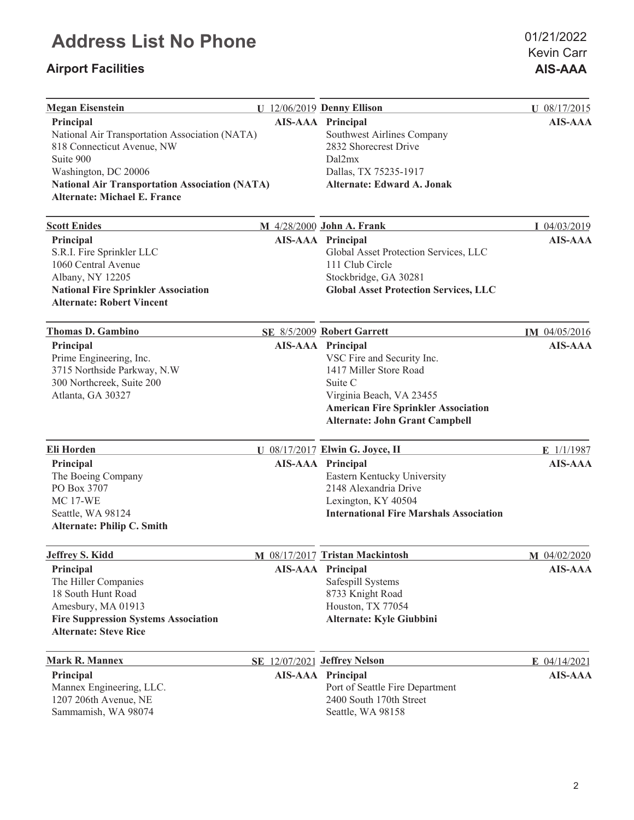## **Airport Facilities AIS-AAA**

| <b>Megan Eisenstein</b>                                                                                                                                                                                                        | U 12/06/2019 Denny Ellison                                                                                                                                                                                     | U 08/17/2015   |
|--------------------------------------------------------------------------------------------------------------------------------------------------------------------------------------------------------------------------------|----------------------------------------------------------------------------------------------------------------------------------------------------------------------------------------------------------------|----------------|
| Principal<br>National Air Transportation Association (NATA)<br>818 Connecticut Avenue, NW<br>Suite 900<br>Washington, DC 20006<br><b>National Air Transportation Association (NATA)</b><br><b>Alternate: Michael E. France</b> | <b>AIS-AAA</b> Principal<br>Southwest Airlines Company<br>2832 Shorecrest Drive<br>Dal2mx<br>Dallas, TX 75235-1917<br><b>Alternate: Edward A. Jonak</b>                                                        | <b>AIS-AAA</b> |
| <b>Scott Enides</b>                                                                                                                                                                                                            | M 4/28/2000 John A. Frank                                                                                                                                                                                      | I 04/03/2019   |
| Principal<br>S.R.I. Fire Sprinkler LLC<br>1060 Central Avenue<br>Albany, NY 12205<br><b>National Fire Sprinkler Association</b><br><b>Alternate: Robert Vincent</b>                                                            | <b>AIS-AAA</b> Principal<br>Global Asset Protection Services, LLC<br>111 Club Circle<br>Stockbridge, GA 30281<br><b>Global Asset Protection Services, LLC</b>                                                  | <b>AIS-AAA</b> |
| <b>Thomas D. Gambino</b>                                                                                                                                                                                                       | SE 8/5/2009 Robert Garrett                                                                                                                                                                                     | IM 04/05/2016  |
| Principal<br>Prime Engineering, Inc.<br>3715 Northside Parkway, N.W<br>300 Northcreek, Suite 200<br>Atlanta, GA 30327                                                                                                          | <b>AIS-AAA</b> Principal<br>VSC Fire and Security Inc.<br>1417 Miller Store Road<br>Suite C<br>Virginia Beach, VA 23455<br><b>American Fire Sprinkler Association</b><br><b>Alternate: John Grant Campbell</b> | <b>AIS-AAA</b> |
| Eli Horden                                                                                                                                                                                                                     | U 08/17/2017 Elwin G. Joyce, II                                                                                                                                                                                | E $1/1/1987$   |
| Principal<br>The Boeing Company<br>PO Box 3707<br><b>MC 17-WE</b><br>Seattle, WA 98124<br><b>Alternate: Philip C. Smith</b>                                                                                                    | <b>AIS-AAA</b> Principal<br>Eastern Kentucky University<br>2148 Alexandria Drive<br>Lexington, KY 40504<br><b>International Fire Marshals Association</b>                                                      | <b>AIS-AAA</b> |
| <b>Jeffrey S. Kidd</b>                                                                                                                                                                                                         | M 08/17/2017 Tristan Mackintosh                                                                                                                                                                                | $M$ 04/02/2020 |
| Principal<br>The Hiller Companies<br>18 South Hunt Road<br>Amesbury, MA 01913<br><b>Fire Suppression Systems Association</b><br><b>Alternate: Steve Rice</b>                                                                   | AIS-AAA Principal<br>Safespill Systems<br>8733 Knight Road<br>Houston, TX 77054<br>Alternate: Kyle Giubbini                                                                                                    | <b>AIS-AAA</b> |
| <b>Mark R. Mannex</b>                                                                                                                                                                                                          | SE 12/07/2021 Jeffrey Nelson                                                                                                                                                                                   | $E$ 04/14/2021 |
| Principal<br>Mannex Engineering, LLC.<br>1207 206th Avenue, NE<br>Sammamish, WA 98074                                                                                                                                          | <b>AIS-AAA</b> Principal<br>Port of Seattle Fire Department<br>2400 South 170th Street<br>Seattle, WA 98158                                                                                                    | <b>AIS-AAA</b> |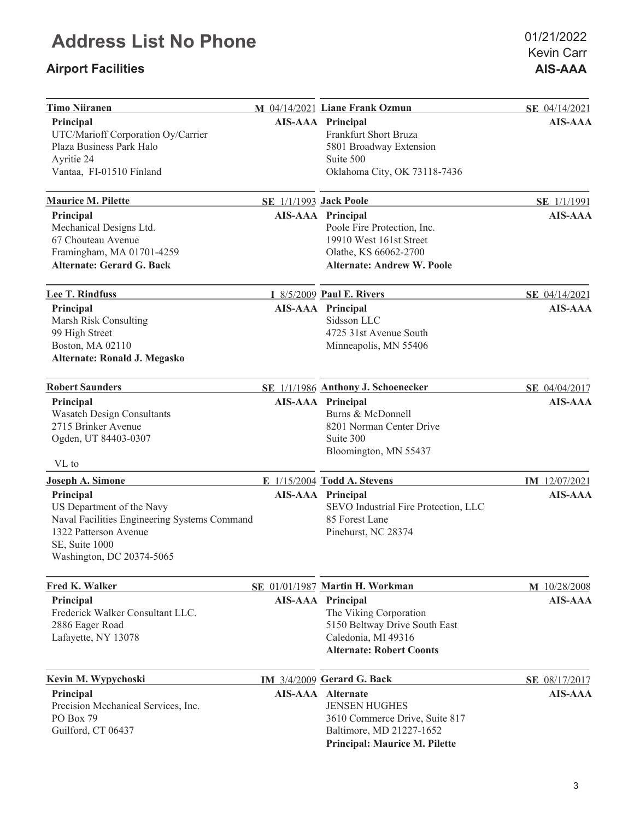## **Airport Facilities AIS-AAA**

| <b>Timo Niiranen</b>                                                                                                                                           |                               | M 04/14/2021 Liane Frank Ozmun                                                                                                                         | SE 04/14/2021  |
|----------------------------------------------------------------------------------------------------------------------------------------------------------------|-------------------------------|--------------------------------------------------------------------------------------------------------------------------------------------------------|----------------|
| Principal<br>UTC/Marioff Corporation Oy/Carrier<br>Plaza Business Park Halo<br>Ayritie 24<br>Vantaa, FI-01510 Finland                                          |                               | <b>AIS-AAA</b> Principal<br>Frankfurt Short Bruza<br>5801 Broadway Extension<br>Suite 500<br>Oklahoma City, OK 73118-7436                              | <b>AIS-AAA</b> |
| <b>Maurice M. Pilette</b>                                                                                                                                      | <b>SE 1/1/1993 Jack Poole</b> |                                                                                                                                                        | SE 1/1/1991    |
| Principal<br>Mechanical Designs Ltd.<br>67 Chouteau Avenue<br>Framingham, MA 01701-4259<br><b>Alternate: Gerard G. Back</b>                                    |                               | <b>AIS-AAA</b> Principal<br>Poole Fire Protection, Inc.<br>19910 West 161st Street<br>Olathe, KS 66062-2700<br><b>Alternate: Andrew W. Poole</b>       | <b>AIS-AAA</b> |
| Lee T. Rindfuss                                                                                                                                                |                               | I 8/5/2009 Paul E. Rivers                                                                                                                              | SE 04/14/2021  |
| Principal<br>Marsh Risk Consulting<br>99 High Street<br>Boston, MA 02110<br>Alternate: Ronald J. Megasko                                                       |                               | <b>AIS-AAA</b> Principal<br>Sidsson LLC<br>4725 31st Avenue South<br>Minneapolis, MN 55406                                                             | <b>AIS-AAA</b> |
| <b>Robert Saunders</b>                                                                                                                                         |                               | SE 1/1/1986 Anthony J. Schoenecker                                                                                                                     | SE 04/04/2017  |
| Principal<br><b>Wasatch Design Consultants</b><br>2715 Brinker Avenue<br>Ogden, UT 84403-0307<br>VL to                                                         |                               | AIS-AAA Principal<br>Burns & McDonnell<br>8201 Norman Center Drive<br>Suite 300<br>Bloomington, MN 55437                                               | <b>AIS-AAA</b> |
| <b>Joseph A. Simone</b>                                                                                                                                        |                               | E 1/15/2004 Todd A. Stevens                                                                                                                            | IM 12/07/2021  |
| Principal<br>US Department of the Navy<br>Naval Facilities Engineering Systems Command<br>1322 Patterson Avenue<br>SE, Suite 1000<br>Washington, DC 20374-5065 |                               | <b>AIS-AAA</b> Principal<br>SEVO Industrial Fire Protection, LLC<br>85 Forest Lane<br>Pinehurst, NC 28374                                              | <b>AIS-AAA</b> |
| Fred K. Walker                                                                                                                                                 |                               | SE 01/01/1987 Martin H. Workman                                                                                                                        | M 10/28/2008   |
| Principal<br>Frederick Walker Consultant LLC.<br>2886 Eager Road<br>Lafayette, NY 13078                                                                        |                               | <b>AIS-AAA</b> Principal<br>The Viking Corporation<br>5150 Beltway Drive South East<br>Caledonia, MI 49316<br><b>Alternate: Robert Coonts</b>          | <b>AIS-AAA</b> |
| Kevin M. Wypychoski                                                                                                                                            |                               | IM 3/4/2009 Gerard G. Back                                                                                                                             | SE 08/17/2017  |
| Principal<br>Precision Mechanical Services, Inc.<br>PO Box 79<br>Guilford, CT 06437                                                                            |                               | <b>AIS-AAA</b> Alternate<br><b>JENSEN HUGHES</b><br>3610 Commerce Drive, Suite 817<br>Baltimore, MD 21227-1652<br><b>Principal: Maurice M. Pilette</b> | <b>AIS-AAA</b> |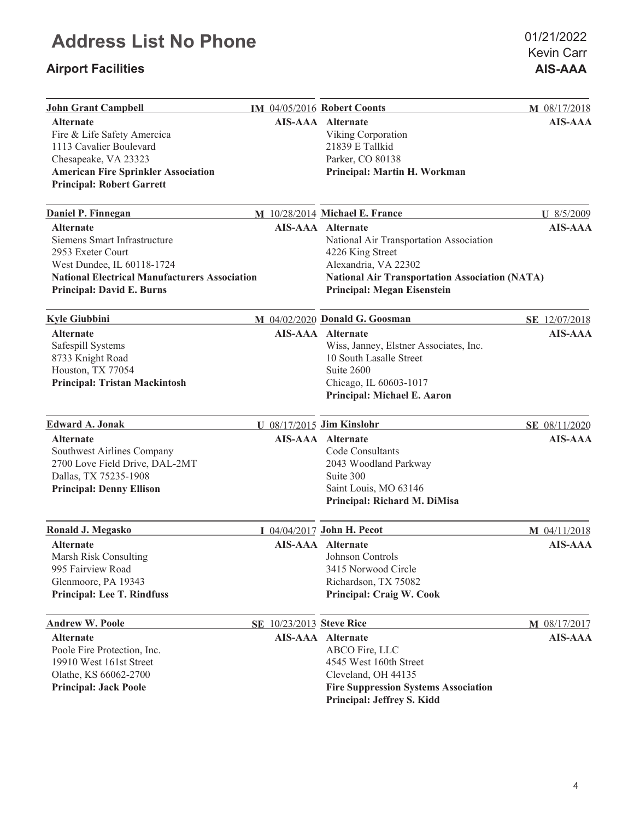## **Airport Facilities AIS-AAA**

Kevin Carr 01/21/2022

| <b>John Grant Campbell</b>                           |  | IM 04/05/2016 Robert Coonts                           | M 08/17/2018   |
|------------------------------------------------------|--|-------------------------------------------------------|----------------|
| <b>Alternate</b>                                     |  | <b>AIS-AAA</b> Alternate                              | <b>AIS-AAA</b> |
| Fire & Life Safety Amercica                          |  | Viking Corporation                                    |                |
| 1113 Cavalier Boulevard                              |  | 21839 E Tallkid                                       |                |
| Chesapeake, VA 23323                                 |  | Parker, CO 80138                                      |                |
| <b>American Fire Sprinkler Association</b>           |  | Principal: Martin H. Workman                          |                |
| <b>Principal: Robert Garrett</b>                     |  |                                                       |                |
| Daniel P. Finnegan                                   |  | M 10/28/2014 Michael E. France                        | U 8/5/2009     |
| <b>Alternate</b>                                     |  | <b>AIS-AAA</b> Alternate                              | <b>AIS-AAA</b> |
| Siemens Smart Infrastructure                         |  | National Air Transportation Association               |                |
| 2953 Exeter Court                                    |  | 4226 King Street                                      |                |
| West Dundee, IL 60118-1724                           |  | Alexandria, VA 22302                                  |                |
| <b>National Electrical Manufacturers Association</b> |  | <b>National Air Transportation Association (NATA)</b> |                |
| <b>Principal: David E. Burns</b>                     |  | <b>Principal: Megan Eisenstein</b>                    |                |
|                                                      |  |                                                       |                |
| <b>Kyle Giubbini</b>                                 |  | M 04/02/2020 Donald G. Goosman                        | SE 12/07/2018  |
| <b>Alternate</b>                                     |  | <b>AIS-AAA</b> Alternate                              | <b>AIS-AAA</b> |
| Safespill Systems                                    |  | Wiss, Janney, Elstner Associates, Inc.                |                |
| 8733 Knight Road                                     |  | 10 South Lasalle Street                               |                |
| Houston, TX 77054                                    |  | Suite 2600                                            |                |
| <b>Principal: Tristan Mackintosh</b>                 |  | Chicago, IL 60603-1017                                |                |
|                                                      |  | Principal: Michael E. Aaron                           |                |
| <b>Edward A. Jonak</b>                               |  | U 08/17/2015 Jim Kinslohr                             | SE 08/11/2020  |
|                                                      |  |                                                       |                |
| <b>Alternate</b>                                     |  | <b>AIS-AAA</b> Alternate                              | <b>AIS-AAA</b> |
| Southwest Airlines Company                           |  | Code Consultants                                      |                |
| 2700 Love Field Drive, DAL-2MT                       |  | 2043 Woodland Parkway                                 |                |
| Dallas, TX 75235-1908                                |  | Suite 300                                             |                |
| <b>Principal: Denny Ellison</b>                      |  | Saint Louis, MO 63146                                 |                |
|                                                      |  | Principal: Richard M. DiMisa                          |                |
| Ronald J. Megasko                                    |  | I 04/04/2017 John H. Pecot                            | M 04/11/2018   |
| <b>Alternate</b>                                     |  | <b>AIS-AAA</b> Alternate                              | <b>AIS-AAA</b> |
| Marsh Risk Consulting                                |  | Johnson Controls                                      |                |
| 995 Fairview Road                                    |  | 3415 Norwood Circle                                   |                |
| Glenmoore, PA 19343                                  |  | Richardson, TX 75082                                  |                |
| <b>Principal: Lee T. Rindfuss</b>                    |  | <b>Principal: Craig W. Cook</b>                       |                |
| <b>Andrew W. Poole</b>                               |  | SE 10/23/2013 Steve Rice                              | M 08/17/2017   |
| <b>Alternate</b>                                     |  | AIS-AAA Alternate                                     | <b>AIS-AAA</b> |
| Poole Fire Protection, Inc.                          |  | ABCO Fire, LLC                                        |                |
| 19910 West 161st Street                              |  | 4545 West 160th Street                                |                |
| Olathe, KS 66062-2700                                |  | Cleveland, OH 44135                                   |                |
| <b>Principal: Jack Poole</b>                         |  | <b>Fire Suppression Systems Association</b>           |                |
|                                                      |  | <b>Principal: Jeffrey S. Kidd</b>                     |                |
|                                                      |  |                                                       |                |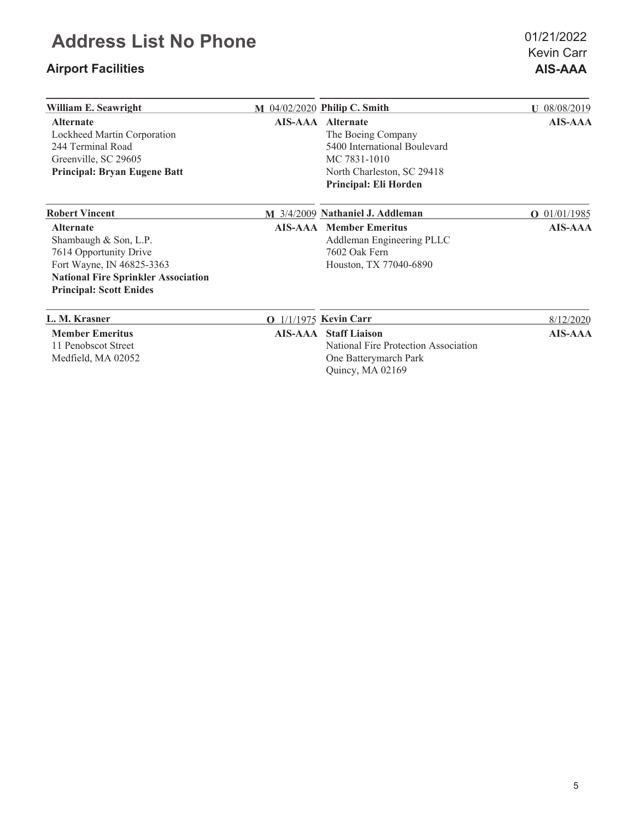## **Airport Facilities AIS-AAA**

Kevin Carr 01/21/2022

| William E. Seawright                                                                                                                                                             | M 04/02/2020 Philip C. Smith                                                                                                                   | $U$ 08/08/2019 |
|----------------------------------------------------------------------------------------------------------------------------------------------------------------------------------|------------------------------------------------------------------------------------------------------------------------------------------------|----------------|
| <b>Alternate</b><br>Lockheed Martin Corporation<br>244 Terminal Road<br>Greenville, SC 29605<br><b>Principal: Bryan Eugene Batt</b>                                              | AIS-AAA Alternate<br>The Boeing Company<br>5400 International Boulevard<br>MC 7831-1010<br>North Charleston, SC 29418<br>Principal: Eli Horden | <b>AIS-AAA</b> |
| <b>Robert Vincent</b>                                                                                                                                                            | M 3/4/2009 Nathaniel J. Addleman                                                                                                               | $O$ 01/01/1985 |
| <b>Alternate</b><br>Shambaugh & Son, L.P.<br>7614 Opportunity Drive<br>Fort Wayne, IN 46825-3363<br><b>National Fire Sprinkler Association</b><br><b>Principal: Scott Enides</b> | <b>AIS-AAA</b> Member Emeritus<br>Addleman Engineering PLLC<br>7602 Oak Fern<br>Houston, TX 77040-6890                                         | <b>AIS-AAA</b> |
| L. M. Krasner                                                                                                                                                                    | <b>O</b> 1/1/1975 Kevin Carr                                                                                                                   | 8/12/2020      |
| <b>Member Emeritus</b><br>11 Penobscot Street<br>Medfield, MA 02052                                                                                                              | <b>AIS-AAA</b> Staff Liaison<br>National Fire Protection Association<br>One Batterymarch Park<br>Quincy, MA 02169                              | <b>AIS-AAA</b> |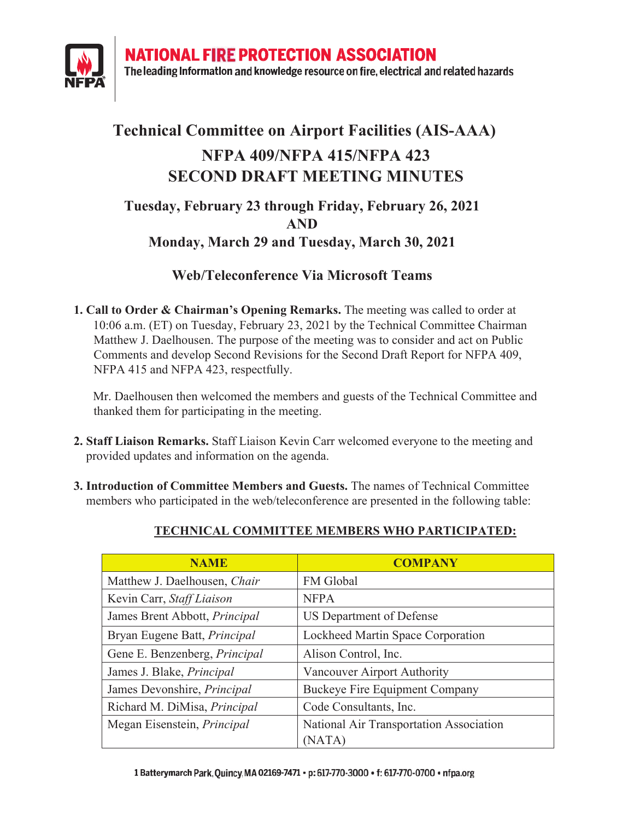**NATIONAL FIRE PROTECTION ASSOCIATION** 



The leading Information and knowledge resource on fire, electrical and related hazards

## **Technical Committee on Airport Facilities (AIS-AAA) NFPA 409/NFPA 415/NFPA 423 SECOND DRAFT MEETING MINUTES**

## **Tuesday, February 23 through Friday, February 26, 2021 AND Monday, March 29 and Tuesday, March 3, 2021**

## **Web/Teleconference Via Microsoft Teams**

**1. Call to Order & Chairman's Opening Remarks.** The meeting was called to order at 10:06 a.m. (ET) on Tuesday, February 23, 2021 by the Technical Committee Chairman Matthew J. Daelhousen. The purpose of the meeting was to consider and act on Public Comments and develop Second Revisions for the Second Draft Report for NFPA 409, NFPA 415 and NFPA 423, respectfully.

Mr. Daelhousen then welcomed the members and guests of the Technical Committee and thanked them for participating in the meeting.

- **2. Staff Liaison Remarks.** Staff Liaison Kevin Carr welcomed everyone to the meeting and provided updates and information on the agenda.
- **3. Introduction of Committee Members and Guests.** The names of Technical Committee members who participated in the web/teleconference are presented in the following table:

| <b>NAME</b>                          | <b>COMPANY</b>                          |
|--------------------------------------|-----------------------------------------|
| Matthew J. Daelhousen, Chair         | FM Global                               |
| Kevin Carr, Staff Liaison            | <b>NFPA</b>                             |
| James Brent Abbott, <i>Principal</i> | US Department of Defense                |
| Bryan Eugene Batt, Principal         | Lockheed Martin Space Corporation       |
| Gene E. Benzenberg, Principal        | Alison Control, Inc.                    |
| James J. Blake, Principal            | Vancouver Airport Authority             |
| James Devonshire, Principal          | Buckeye Fire Equipment Company          |
| Richard M. DiMisa, Principal         | Code Consultants, Inc.                  |
| Megan Eisenstein, Principal          | National Air Transportation Association |
|                                      | (NATA)                                  |

### **TECHNICAL COMMITTEE MEMBERS WHO PARTICIPATED:**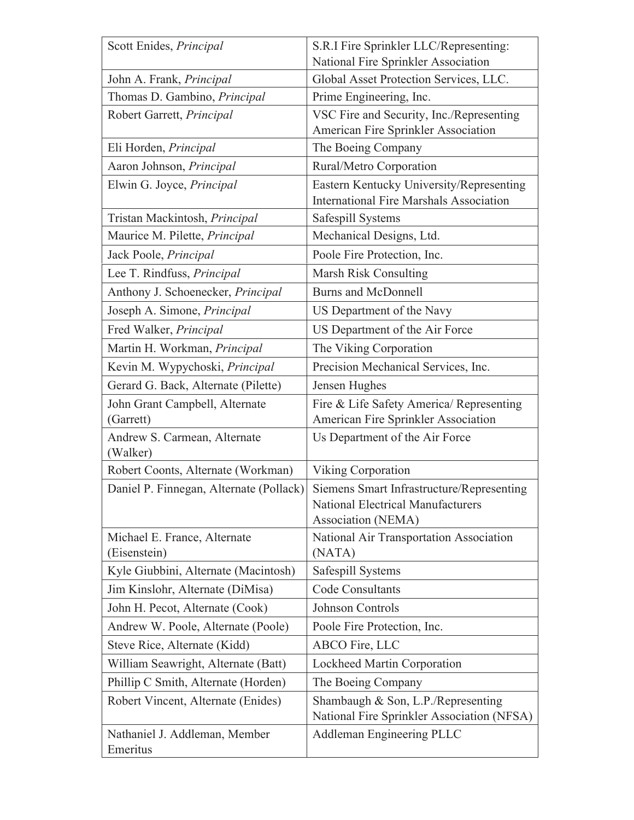| Scott Enides, Principal                      | S.R.I Fire Sprinkler LLC/Representing:                                                                      |
|----------------------------------------------|-------------------------------------------------------------------------------------------------------------|
|                                              | National Fire Sprinkler Association                                                                         |
| John A. Frank, <i>Principal</i>              | Global Asset Protection Services, LLC.                                                                      |
| Thomas D. Gambino, Principal                 | Prime Engineering, Inc.                                                                                     |
| Robert Garrett, Principal                    | VSC Fire and Security, Inc./Representing<br>American Fire Sprinkler Association                             |
| Eli Horden, Principal                        | The Boeing Company                                                                                          |
| Aaron Johnson, Principal                     | Rural/Metro Corporation                                                                                     |
| Elwin G. Joyce, Principal                    | Eastern Kentucky University/Representing<br><b>International Fire Marshals Association</b>                  |
| Tristan Mackintosh, Principal                | Safespill Systems                                                                                           |
| Maurice M. Pilette, Principal                | Mechanical Designs, Ltd.                                                                                    |
| Jack Poole, Principal                        | Poole Fire Protection, Inc.                                                                                 |
| Lee T. Rindfuss, Principal                   | Marsh Risk Consulting                                                                                       |
| Anthony J. Schoenecker, Principal            | <b>Burns and McDonnell</b>                                                                                  |
| Joseph A. Simone, Principal                  | US Department of the Navy                                                                                   |
| Fred Walker, Principal                       | US Department of the Air Force                                                                              |
| Martin H. Workman, Principal                 | The Viking Corporation                                                                                      |
| Kevin M. Wypychoski, Principal               | Precision Mechanical Services, Inc.                                                                         |
| Gerard G. Back, Alternate (Pilette)          | Jensen Hughes                                                                                               |
| John Grant Campbell, Alternate<br>(Garrett)  | Fire & Life Safety America/ Representing<br>American Fire Sprinkler Association                             |
| Andrew S. Carmean, Alternate<br>(Walker)     | Us Department of the Air Force                                                                              |
| Robert Coonts, Alternate (Workman)           | Viking Corporation                                                                                          |
| Daniel P. Finnegan, Alternate (Pollack)      | Siemens Smart Infrastructure/Representing<br><b>National Electrical Manufacturers</b><br>Association (NEMA) |
| Michael E. France, Alternate<br>(Eisenstein) | National Air Transportation Association<br>(NATA)                                                           |
| Kyle Giubbini, Alternate (Macintosh)         | Safespill Systems                                                                                           |
| Jim Kinslohr, Alternate (DiMisa)             | <b>Code Consultants</b>                                                                                     |
| John H. Pecot, Alternate (Cook)              | Johnson Controls                                                                                            |
| Andrew W. Poole, Alternate (Poole)           | Poole Fire Protection, Inc.                                                                                 |
| Steve Rice, Alternate (Kidd)                 | ABCO Fire, LLC                                                                                              |
| William Seawright, Alternate (Batt)          | Lockheed Martin Corporation                                                                                 |
| Phillip C Smith, Alternate (Horden)          | The Boeing Company                                                                                          |
| Robert Vincent, Alternate (Enides)           | Shambaugh & Son, L.P./Representing<br>National Fire Sprinkler Association (NFSA)                            |
| Nathaniel J. Addleman, Member<br>Emeritus    | <b>Addleman Engineering PLLC</b>                                                                            |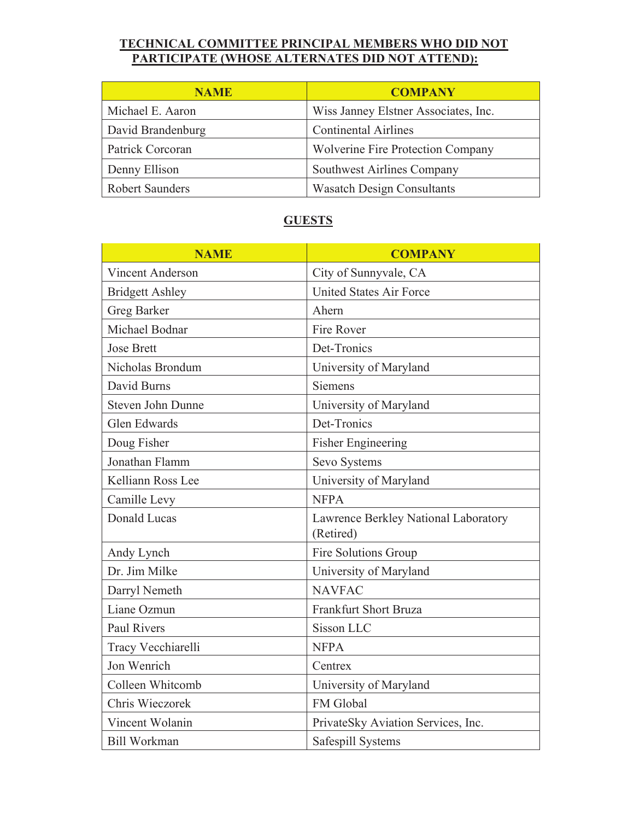### **TECHNICAL COMMITTEE PRINCIPAL MEMBERS WHO DID NOT PARTICIPATE (WHOSE ALTERNATES DID NOT ATTEND):**

| <b>NAME</b>            | <b>COMPANY</b>                           |
|------------------------|------------------------------------------|
| Michael E. Aaron       | Wiss Janney Elstner Associates, Inc.     |
| David Brandenburg      | <b>Continental Airlines</b>              |
| Patrick Corcoran       | <b>Wolverine Fire Protection Company</b> |
| Denny Ellison          | Southwest Airlines Company               |
| <b>Robert Saunders</b> | <b>Wasatch Design Consultants</b>        |

### **GUESTS**

| <b>NAME</b>              | <b>COMPANY</b>                                    |
|--------------------------|---------------------------------------------------|
| <b>Vincent Anderson</b>  | City of Sunnyvale, CA                             |
| <b>Bridgett Ashley</b>   | <b>United States Air Force</b>                    |
| <b>Greg Barker</b>       | Ahern                                             |
| Michael Bodnar           | Fire Rover                                        |
| <b>Jose Brett</b>        | Det-Tronics                                       |
| Nicholas Brondum         | University of Maryland                            |
| David Burns              | <b>Siemens</b>                                    |
| <b>Steven John Dunne</b> | University of Maryland                            |
| <b>Glen Edwards</b>      | Det-Tronics                                       |
| Doug Fisher              | <b>Fisher Engineering</b>                         |
| Jonathan Flamm           | Sevo Systems                                      |
| Kelliann Ross Lee        | University of Maryland                            |
| Camille Levy             | <b>NFPA</b>                                       |
| <b>Donald Lucas</b>      | Lawrence Berkley National Laboratory<br>(Retired) |
| Andy Lynch               | Fire Solutions Group                              |
| Dr. Jim Milke            | University of Maryland                            |
| Darryl Nemeth            | <b>NAVFAC</b>                                     |
| Liane Ozmun              | Frankfurt Short Bruza                             |
| <b>Paul Rivers</b>       | Sisson LLC                                        |
| Tracy Vecchiarelli       | <b>NFPA</b>                                       |
| Jon Wenrich              | Centrex                                           |
| Colleen Whitcomb         | University of Maryland                            |
| Chris Wieczorek          | FM Global                                         |
| Vincent Wolanin          | PrivateSky Aviation Services, Inc.                |
| <b>Bill Workman</b>      | Safespill Systems                                 |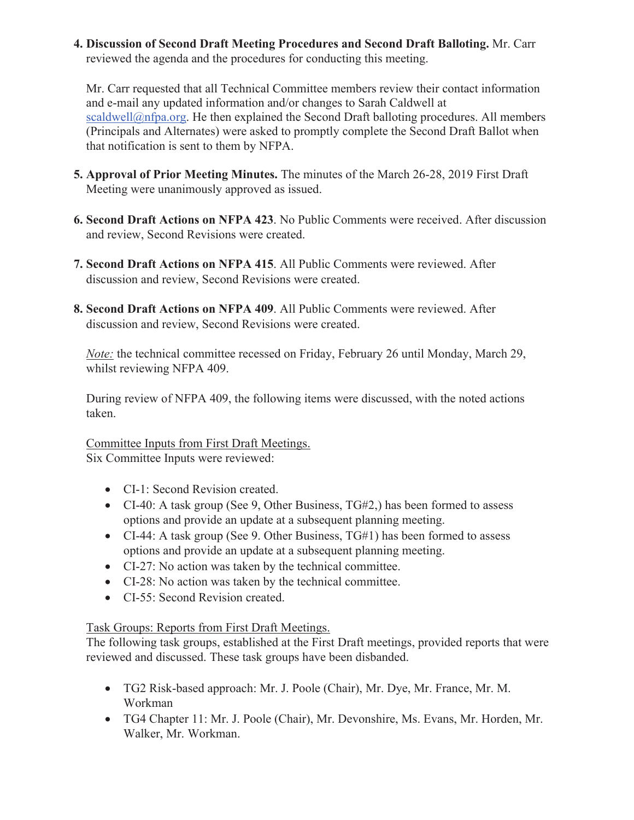**4. Discussion of Second Draft Meeting Procedures and Second Draft Balloting.** Mr. Carr reviewed the agenda and the procedures for conducting this meeting.

Mr. Carr requested that all Technical Committee members review their contact information and e-mail any updated information and/or changes to Sarah Caldwell at  $scaldwell@nfpa.org.$  He then explained the Second Draft balloting procedures. All members (Principals and Alternates) were asked to promptly complete the Second Draft Ballot when that notification is sent to them by NFPA.

- **5. Approval of Prior Meeting Minutes.** The minutes of the March 26-28, 2019 First Draft Meeting were unanimously approved as issued.
- **6. Second Draft Actions on NFPA 423**. No Public Comments were received. After discussion and review, Second Revisions were created.
- **7. Second Draft Actions on NFPA 415**. All Public Comments were reviewed. After discussion and review, Second Revisions were created.
- **8. Second Draft Actions on NFPA 409**. All Public Comments were reviewed. After discussion and review, Second Revisions were created.

*Note:* the technical committee recessed on Friday, February 26 until Monday, March 29, whilst reviewing NFPA 409.

During review of NFPA 409, the following items were discussed, with the noted actions taken.

#### Committee Inputs from First Draft Meetings.

Six Committee Inputs were reviewed:

- CI-1: Second Revision created.
- CI-40: A task group (See 9, Other Business,  $T<sub>G</sub>\#2$ ,) has been formed to assess options and provide an update at a subsequent planning meeting.
- CI-44: A task group (See 9. Other Business,  $TGH1$ ) has been formed to assess options and provide an update at a subsequent planning meeting.
- CI-27: No action was taken by the technical committee.
- CI-28: No action was taken by the technical committee.
- CI-55: Second Revision created.

### Task Groups: Reports from First Draft Meetings.

The following task groups, established at the First Draft meetings, provided reports that were reviewed and discussed. These task groups have been disbanded.

- x TG2 Risk-based approach: Mr. J. Poole (Chair), Mr. Dye, Mr. France, Mr. M. Workman
- x TG4 Chapter 11: Mr. J. Poole (Chair), Mr. Devonshire, Ms. Evans, Mr. Horden, Mr. Walker, Mr. Workman.